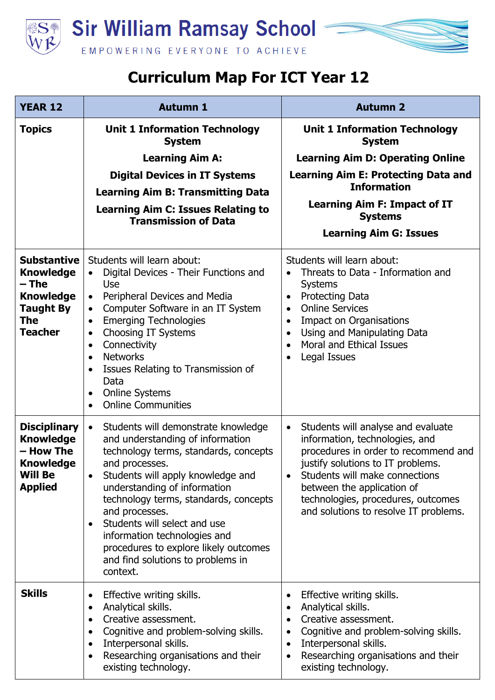

## **Curriculum Map For ICT Year 12**

| <b>YEAR 12</b>                                                                                                          | <b>Autumn 1</b>                                                                                                                                                                                                                                                                                                                                                                                                                                                                 | <b>Autumn 2</b>                                                                                                                                                                                                                                                                                                                         |
|-------------------------------------------------------------------------------------------------------------------------|---------------------------------------------------------------------------------------------------------------------------------------------------------------------------------------------------------------------------------------------------------------------------------------------------------------------------------------------------------------------------------------------------------------------------------------------------------------------------------|-----------------------------------------------------------------------------------------------------------------------------------------------------------------------------------------------------------------------------------------------------------------------------------------------------------------------------------------|
| <b>Topics</b>                                                                                                           | <b>Unit 1 Information Technology</b><br><b>System</b>                                                                                                                                                                                                                                                                                                                                                                                                                           | <b>Unit 1 Information Technology</b><br><b>System</b>                                                                                                                                                                                                                                                                                   |
|                                                                                                                         | <b>Learning Aim A:</b>                                                                                                                                                                                                                                                                                                                                                                                                                                                          | <b>Learning Aim D: Operating Online</b>                                                                                                                                                                                                                                                                                                 |
|                                                                                                                         | <b>Digital Devices in IT Systems</b>                                                                                                                                                                                                                                                                                                                                                                                                                                            | <b>Learning Aim E: Protecting Data and</b><br><b>Information</b>                                                                                                                                                                                                                                                                        |
|                                                                                                                         | <b>Learning Aim B: Transmitting Data</b><br><b>Learning Aim C: Issues Relating to</b>                                                                                                                                                                                                                                                                                                                                                                                           | <b>Learning Aim F: Impact of IT</b>                                                                                                                                                                                                                                                                                                     |
|                                                                                                                         | <b>Transmission of Data</b>                                                                                                                                                                                                                                                                                                                                                                                                                                                     | <b>Systems</b>                                                                                                                                                                                                                                                                                                                          |
|                                                                                                                         |                                                                                                                                                                                                                                                                                                                                                                                                                                                                                 | <b>Learning Aim G: Issues</b>                                                                                                                                                                                                                                                                                                           |
| <b>Substantive</b><br><b>Knowledge</b><br>– The<br><b>Knowledge</b><br><b>Taught By</b><br><b>The</b><br><b>Teacher</b> | Students will learn about:<br>Digital Devices - Their Functions and<br>$\bullet$<br>Use<br>Peripheral Devices and Media<br>$\bullet$<br>Computer Software in an IT System<br>$\bullet$<br><b>Emerging Technologies</b><br>$\bullet$<br>Choosing IT Systems<br>$\bullet$<br>Connectivity<br>$\bullet$<br><b>Networks</b><br>$\bullet$<br>Issues Relating to Transmission of<br>$\bullet$<br>Data<br><b>Online Systems</b><br>$\bullet$<br><b>Online Communities</b><br>$\bullet$ | Students will learn about:<br>Threats to Data - Information and<br>$\bullet$<br><b>Systems</b><br><b>Protecting Data</b><br>$\bullet$<br><b>Online Services</b><br>$\bullet$<br><b>Impact on Organisations</b><br>Using and Manipulating Data<br>$\bullet$<br><b>Moral and Ethical Issues</b><br>$\bullet$<br>Legal Issues<br>$\bullet$ |
| <b>Disciplinary</b><br><b>Knowledge</b><br>- How The<br><b>Knowledge</b><br><b>Will Be</b><br><b>Applied</b>            | Students will demonstrate knowledge<br>$\bullet$<br>and understanding of information<br>technology terms, standards, concepts<br>and processes.<br>Students will apply knowledge and<br>understanding of information<br>technology terms, standards, concepts<br>and processes.<br>Students will select and use<br>information technologies and<br>procedures to explore likely outcomes<br>and find solutions to problems in<br>context.                                       | Students will analyse and evaluate<br>$\bullet$<br>information, technologies, and<br>procedures in order to recommend and<br>justify solutions to IT problems.<br>Students will make connections<br>between the application of<br>technologies, procedures, outcomes<br>and solutions to resolve IT problems.                           |
| <b>Skills</b>                                                                                                           | Effective writing skills.<br>$\bullet$<br>Analytical skills.<br>$\bullet$<br>Creative assessment.<br>$\bullet$<br>Cognitive and problem-solving skills.<br>$\bullet$<br>Interpersonal skills.<br>$\bullet$<br>Researching organisations and their<br>existing technology.                                                                                                                                                                                                       | Effective writing skills.<br>Analytical skills.<br>$\bullet$<br>Creative assessment.<br>$\bullet$<br>Cognitive and problem-solving skills.<br>٠<br>Interpersonal skills.<br>$\bullet$<br>Researching organisations and their<br>$\bullet$<br>existing technology.                                                                       |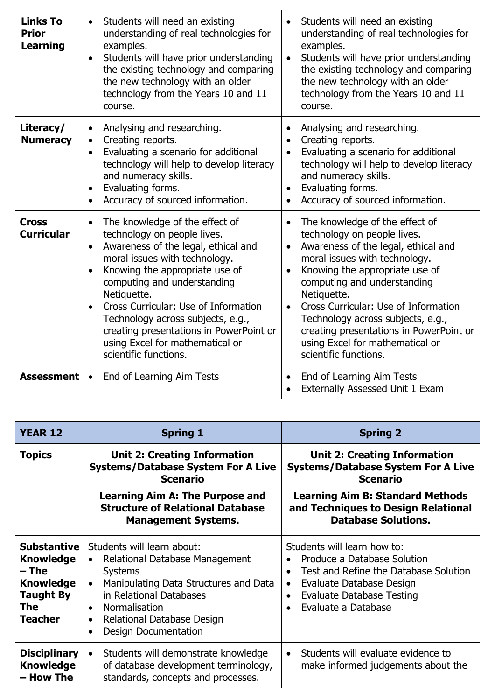| <b>Links To</b><br><b>Prior</b><br><b>Learning</b> | Students will need an existing<br>$\bullet$<br>understanding of real technologies for<br>examples.<br>Students will have prior understanding<br>$\bullet$<br>the existing technology and comparing<br>the new technology with an older<br>technology from the Years 10 and 11<br>course.                                                                                                                                                         | Students will need an existing<br>$\bullet$<br>understanding of real technologies for<br>examples.<br>Students will have prior understanding<br>$\bullet$<br>the existing technology and comparing<br>the new technology with an older<br>technology from the Years 10 and 11<br>course.                                                                                                                                                                      |
|----------------------------------------------------|--------------------------------------------------------------------------------------------------------------------------------------------------------------------------------------------------------------------------------------------------------------------------------------------------------------------------------------------------------------------------------------------------------------------------------------------------|---------------------------------------------------------------------------------------------------------------------------------------------------------------------------------------------------------------------------------------------------------------------------------------------------------------------------------------------------------------------------------------------------------------------------------------------------------------|
| Literacy/<br><b>Numeracy</b>                       | Analysing and researching.<br>$\bullet$<br>Creating reports.<br>$\bullet$<br>Evaluating a scenario for additional<br>$\bullet$<br>technology will help to develop literacy<br>and numeracy skills.<br>Evaluating forms.<br>$\bullet$<br>Accuracy of sourced information.                                                                                                                                                                         | Analysing and researching.<br>Creating reports.<br>$\bullet$<br>Evaluating a scenario for additional<br>$\bullet$<br>technology will help to develop literacy<br>and numeracy skills.<br>Evaluating forms.<br>$\bullet$<br>Accuracy of sourced information.                                                                                                                                                                                                   |
| <b>Cross</b><br><b>Curricular</b>                  | The knowledge of the effect of<br>$\bullet$<br>technology on people lives.<br>Awareness of the legal, ethical and<br>moral issues with technology.<br>Knowing the appropriate use of<br>$\bullet$<br>computing and understanding<br>Netiquette.<br>Cross Curricular: Use of Information<br>$\bullet$<br>Technology across subjects, e.g.,<br>creating presentations in PowerPoint or<br>using Excel for mathematical or<br>scientific functions. | The knowledge of the effect of<br>$\bullet$<br>technology on people lives.<br>Awareness of the legal, ethical and<br>$\bullet$<br>moral issues with technology.<br>Knowing the appropriate use of<br>$\bullet$<br>computing and understanding<br>Netiquette.<br>Cross Curricular: Use of Information<br>$\bullet$<br>Technology across subjects, e.g.,<br>creating presentations in PowerPoint or<br>using Excel for mathematical or<br>scientific functions. |
| <b>Assessment</b>                                  | End of Learning Aim Tests<br>$\bullet$                                                                                                                                                                                                                                                                                                                                                                                                           | End of Learning Aim Tests<br>Externally Assessed Unit 1 Exam                                                                                                                                                                                                                                                                                                                                                                                                  |

| <b>YEAR 12</b>                                                                                                   | <b>Spring 1</b>                                                                                                                                                                                                                                                                                   | <b>Spring 2</b>                                                                                                                                                                                                                   |
|------------------------------------------------------------------------------------------------------------------|---------------------------------------------------------------------------------------------------------------------------------------------------------------------------------------------------------------------------------------------------------------------------------------------------|-----------------------------------------------------------------------------------------------------------------------------------------------------------------------------------------------------------------------------------|
| <b>Topics</b>                                                                                                    | <b>Unit 2: Creating Information</b><br><b>Systems/Database System For A Live</b><br><b>Scenario</b>                                                                                                                                                                                               | <b>Unit 2: Creating Information</b><br><b>Systems/Database System For A Live</b><br><b>Scenario</b>                                                                                                                               |
|                                                                                                                  | <b>Learning Aim A: The Purpose and</b><br><b>Structure of Relational Database</b><br><b>Management Systems.</b>                                                                                                                                                                                   | <b>Learning Aim B: Standard Methods</b><br>and Techniques to Design Relational<br><b>Database Solutions.</b>                                                                                                                      |
| <b>Substantive</b><br><b>Knowledge</b><br>– The<br><b>Knowledge</b><br><b>Taught By</b><br>The<br><b>Teacher</b> | Students will learn about:<br>Relational Database Management<br>$\bullet$<br><b>Systems</b><br>Manipulating Data Structures and Data<br>$\bullet$<br>in Relational Databases<br>Normalisation<br>$\bullet$<br>Relational Database Design<br>$\bullet$<br><b>Design Documentation</b><br>$\bullet$ | Students will learn how to:<br>Produce a Database Solution<br>Test and Refine the Database Solution<br>Evaluate Database Design<br>$\bullet$<br><b>Evaluate Database Testing</b><br>$\bullet$<br>Evaluate a Database<br>$\bullet$ |
| <b>Disciplinary</b><br><b>Knowledge</b><br>– How The                                                             | Students will demonstrate knowledge<br>$\bullet$<br>of database development terminology,<br>standards, concepts and processes.                                                                                                                                                                    | Students will evaluate evidence to<br>$\bullet$<br>make informed judgements about the                                                                                                                                             |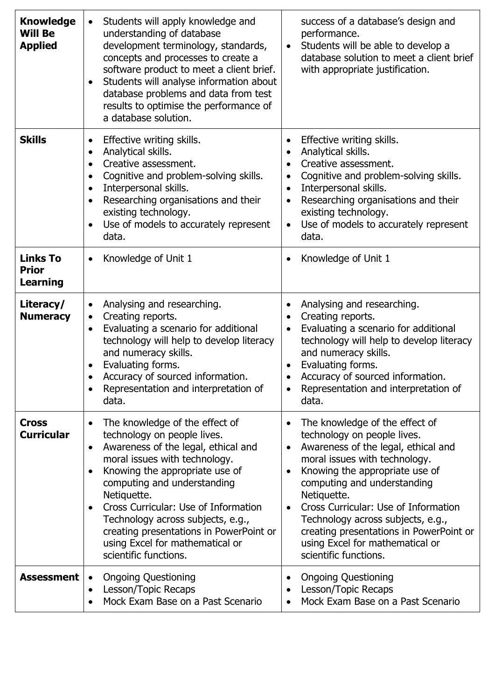| <b>Knowledge</b><br><b>Will Be</b><br><b>Applied</b> | Students will apply knowledge and<br>understanding of database<br>development terminology, standards,<br>concepts and processes to create a<br>software product to meet a client brief.<br>Students will analyse information about<br>database problems and data from test<br>results to optimise the performance of<br>a database solution.                                                                           | success of a database's design and<br>performance.<br>Students will be able to develop a<br>$\bullet$<br>database solution to meet a client brief<br>with appropriate justification.                                                                                                                                                                                                                                                                          |
|------------------------------------------------------|------------------------------------------------------------------------------------------------------------------------------------------------------------------------------------------------------------------------------------------------------------------------------------------------------------------------------------------------------------------------------------------------------------------------|---------------------------------------------------------------------------------------------------------------------------------------------------------------------------------------------------------------------------------------------------------------------------------------------------------------------------------------------------------------------------------------------------------------------------------------------------------------|
| <b>Skills</b>                                        | Effective writing skills.<br>$\bullet$<br>Analytical skills.<br>$\bullet$<br>Creative assessment.<br>$\bullet$<br>Cognitive and problem-solving skills.<br>$\bullet$<br>Interpersonal skills.<br>$\bullet$<br>Researching organisations and their<br>existing technology.<br>Use of models to accurately represent<br>$\bullet$<br>data.                                                                               | Effective writing skills.<br>$\bullet$<br>Analytical skills.<br>$\bullet$<br>Creative assessment.<br>$\bullet$<br>Cognitive and problem-solving skills.<br>$\bullet$<br>Interpersonal skills.<br>$\bullet$<br>Researching organisations and their<br>$\bullet$<br>existing technology.<br>Use of models to accurately represent<br>$\bullet$<br>data.                                                                                                         |
| <b>Links To</b><br><b>Prior</b><br>Learning          | Knowledge of Unit 1<br>$\bullet$                                                                                                                                                                                                                                                                                                                                                                                       | Knowledge of Unit 1<br>$\bullet$                                                                                                                                                                                                                                                                                                                                                                                                                              |
| Literacy/<br><b>Numeracy</b>                         | Analysing and researching.<br>$\bullet$<br>Creating reports.<br>$\bullet$<br>Evaluating a scenario for additional<br>$\bullet$<br>technology will help to develop literacy<br>and numeracy skills.<br>Evaluating forms.<br>Accuracy of sourced information.<br>Representation and interpretation of<br>data.                                                                                                           | Analysing and researching.<br>$\bullet$<br>Creating reports.<br>Evaluating a scenario for additional<br>$\bullet$<br>technology will help to develop literacy<br>and numeracy skills.<br>Evaluating forms.<br>$\bullet$<br>Accuracy of sourced information.<br>Representation and interpretation of<br>$\bullet$<br>data.                                                                                                                                     |
| <b>Cross</b><br><b>Curricular</b>                    | The knowledge of the effect of<br>technology on people lives.<br>Awareness of the legal, ethical and<br>$\bullet$<br>moral issues with technology.<br>Knowing the appropriate use of<br>computing and understanding<br>Netiquette.<br>Cross Curricular: Use of Information<br>Technology across subjects, e.g.,<br>creating presentations in PowerPoint or<br>using Excel for mathematical or<br>scientific functions. | The knowledge of the effect of<br>$\bullet$<br>technology on people lives.<br>Awareness of the legal, ethical and<br>$\bullet$<br>moral issues with technology.<br>Knowing the appropriate use of<br>$\bullet$<br>computing and understanding<br>Netiquette.<br>Cross Curricular: Use of Information<br>$\bullet$<br>Technology across subjects, e.g.,<br>creating presentations in PowerPoint or<br>using Excel for mathematical or<br>scientific functions. |
| Assessment                                           | <b>Ongoing Questioning</b><br>$\bullet$<br>Lesson/Topic Recaps<br>$\bullet$<br>Mock Exam Base on a Past Scenario                                                                                                                                                                                                                                                                                                       | <b>Ongoing Questioning</b><br>$\bullet$<br>Lesson/Topic Recaps<br>Mock Exam Base on a Past Scenario                                                                                                                                                                                                                                                                                                                                                           |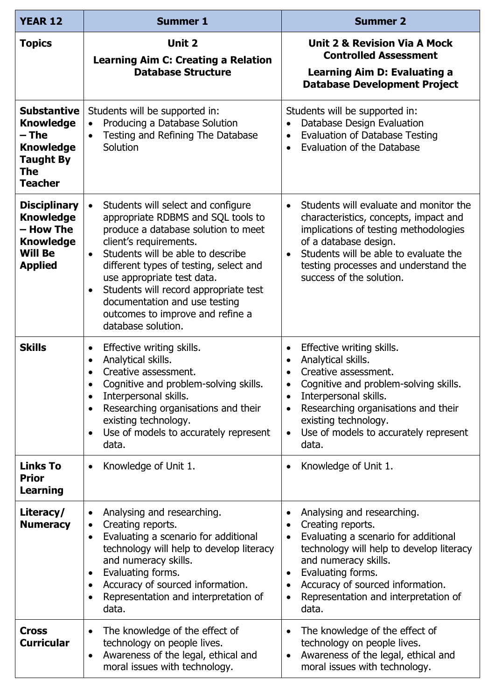| <b>YEAR 12</b>                                                                                                          | <b>Summer 1</b>                                                                                                                                                                                                                                                                                                                                                                                                           | <b>Summer 2</b>                                                                                                                                                                                                                                                                                                                                     |
|-------------------------------------------------------------------------------------------------------------------------|---------------------------------------------------------------------------------------------------------------------------------------------------------------------------------------------------------------------------------------------------------------------------------------------------------------------------------------------------------------------------------------------------------------------------|-----------------------------------------------------------------------------------------------------------------------------------------------------------------------------------------------------------------------------------------------------------------------------------------------------------------------------------------------------|
| <b>Topics</b>                                                                                                           | Unit 2<br><b>Learning Aim C: Creating a Relation</b><br><b>Database Structure</b>                                                                                                                                                                                                                                                                                                                                         | <b>Unit 2 &amp; Revision Via A Mock</b><br><b>Controlled Assessment</b><br><b>Learning Aim D: Evaluating a</b><br><b>Database Development Project</b>                                                                                                                                                                                               |
| <b>Substantive</b><br><b>Knowledge</b><br>– The<br><b>Knowledge</b><br><b>Taught By</b><br><b>The</b><br><b>Teacher</b> | Students will be supported in:<br>Producing a Database Solution<br>$\bullet$<br>Testing and Refining The Database<br>$\bullet$<br>Solution                                                                                                                                                                                                                                                                                | Students will be supported in:<br>Database Design Evaluation<br><b>Evaluation of Database Testing</b><br>$\bullet$<br>Evaluation of the Database<br>$\bullet$                                                                                                                                                                                       |
| <b>Disciplinary</b><br><b>Knowledge</b><br>– How The<br><b>Knowledge</b><br><b>Will Be</b><br><b>Applied</b>            | Students will select and configure<br>$\bullet$<br>appropriate RDBMS and SQL tools to<br>produce a database solution to meet<br>client's requirements.<br>Students will be able to describe<br>$\bullet$<br>different types of testing, select and<br>use appropriate test data.<br>Students will record appropriate test<br>٠<br>documentation and use testing<br>outcomes to improve and refine a<br>database solution. | Students will evaluate and monitor the<br>$\bullet$<br>characteristics, concepts, impact and<br>implications of testing methodologies<br>of a database design.<br>Students will be able to evaluate the<br>$\bullet$<br>testing processes and understand the<br>success of the solution.                                                            |
| <b>Skills</b>                                                                                                           | Effective writing skills.<br>$\bullet$<br>Analytical skills.<br>$\bullet$<br>Creative assessment.<br>Cognitive and problem-solving skills.<br>Interpersonal skills.<br>$\bullet$<br>Researching organisations and their<br>$\bullet$<br>existing technology.<br>Use of models to accurately represent<br>$\bullet$<br>data.                                                                                               | Effective writing skills.<br>$\bullet$<br>Analytical skills.<br>$\bullet$<br>Creative assessment.<br>Cognitive and problem-solving skills.<br>Interpersonal skills.<br>$\bullet$<br>Researching organisations and their<br>$\bullet$<br>existing technology.<br>Use of models to accurately represent<br>$\bullet$<br>data.                         |
| <b>Links To</b><br><b>Prior</b><br><b>Learning</b>                                                                      | Knowledge of Unit 1.<br>$\bullet$                                                                                                                                                                                                                                                                                                                                                                                         | Knowledge of Unit 1.<br>$\bullet$                                                                                                                                                                                                                                                                                                                   |
| Literacy/<br><b>Numeracy</b>                                                                                            | Analysing and researching.<br>Creating reports.<br>$\bullet$<br>Evaluating a scenario for additional<br>٠<br>technology will help to develop literacy<br>and numeracy skills.<br>Evaluating forms.<br>$\bullet$<br>Accuracy of sourced information.<br>$\bullet$<br>Representation and interpretation of<br>$\bullet$<br>data.                                                                                            | Analysing and researching.<br>$\bullet$<br>Creating reports.<br>$\bullet$<br>Evaluating a scenario for additional<br>$\bullet$<br>technology will help to develop literacy<br>and numeracy skills.<br>Evaluating forms.<br>$\bullet$<br>Accuracy of sourced information.<br>$\bullet$<br>Representation and interpretation of<br>$\bullet$<br>data. |
| <b>Cross</b><br><b>Curricular</b>                                                                                       | The knowledge of the effect of<br>$\bullet$<br>technology on people lives.<br>Awareness of the legal, ethical and<br>$\bullet$<br>moral issues with technology.                                                                                                                                                                                                                                                           | The knowledge of the effect of<br>$\bullet$<br>technology on people lives.<br>Awareness of the legal, ethical and<br>$\bullet$<br>moral issues with technology.                                                                                                                                                                                     |